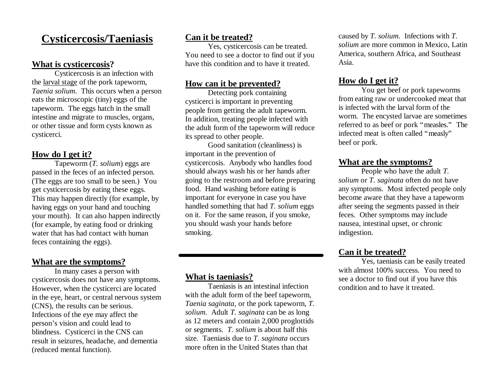# **Cysticercosis/Taeniasis**

#### **What is cysticercosis?**

Cysticercosis is an infection with the larval stage of the pork tapeworm, *Taenia solium*. This occurs when a person eats the microscopic (tiny) eggs of the tapeworm. The eggs hatch in the small intestine and migrate to muscles, organs, or other tissue and form cysts known as cysticerci.

# **How do I get it?**

Tapeworm (*T. solium*) eggs are passed in the feces of an infected person. (The eggs are too small to be seen.) You get cysticercosis by eating these eggs*.*  This may happen directly (for example, by having eggs on your hand and touching your mouth). It can also happen indirectly (for example, by eating food or drinking water that has had contact with human feces containing the eggs).

#### **What are the symptoms?**

In many cases a person with cysticercosis does not have any symptoms. However, when the cysticerci are located in the eye, heart, or central nervous system (CNS), the results can be serious. Infections of the eye may affect the person's vision and could lead to blindness. Cysticerci in the CNS can result in seizures, headache, and dementia (reduced mental function).

# **Can it be treated?**

Yes, cysticercosis can be treated. You need to see a doctor to find out if you have this condition and to have it treated.

#### **How can it be prevented?**

Detecting pork containing cysticerci is important in preventing people from getting the adult tapeworm. In addition, treating people infected with the adult form of the tapeworm will reduce its spread to other people.

Good sanitation (cleanliness) is important in the prevention of cysticercosis. Anybody who handles food should always wash his or her hands after going to the restroom and before preparing food. Hand washing before eating is important for everyone in case you have handled something that had *T. solium* eggs on it. For the same reason, if you smoke, you should wash your hands before smoking.

#### **What is taeniasis?**

Taeniasis is an intestinal infection with the adult form of the beef tapeworm, *Taenia saginata*, or the pork tapeworm, *T. solium.* Adult *T. saginata* can be as long as 12 meters and contain 2,000 proglottids or segments. *T. solium* is about half this size. Taeniasis due to *T. saginata* occurs more often in the United States than that

caused by *T. solium*. Infections with *T. solium* are more common in Mexico, Latin America, southern Africa, and Southeast Asia.

### **How do I get it?**

You get beef or pork tapeworms from eating raw or undercooked meat that is infected with the larval form of the worm. The encysted larvae are sometimes referred to as beef or pork "measles." The infected meat is often called "measly" beef or pork.

#### **What are the symptoms?**

People who have the adult *T. solium* or *T. saginata* often do not have any symptoms*.* Most infected people only become aware that they have a tapeworm after seeing the segments passed in their feces. Other symptoms may include nausea, intestinal upset, or chronic indigestion.

# **Can it be treated?**

Yes, taeniasis can be easily treated with almost 100% success. You need to see a doctor to find out if you have this condition and to have it treated.